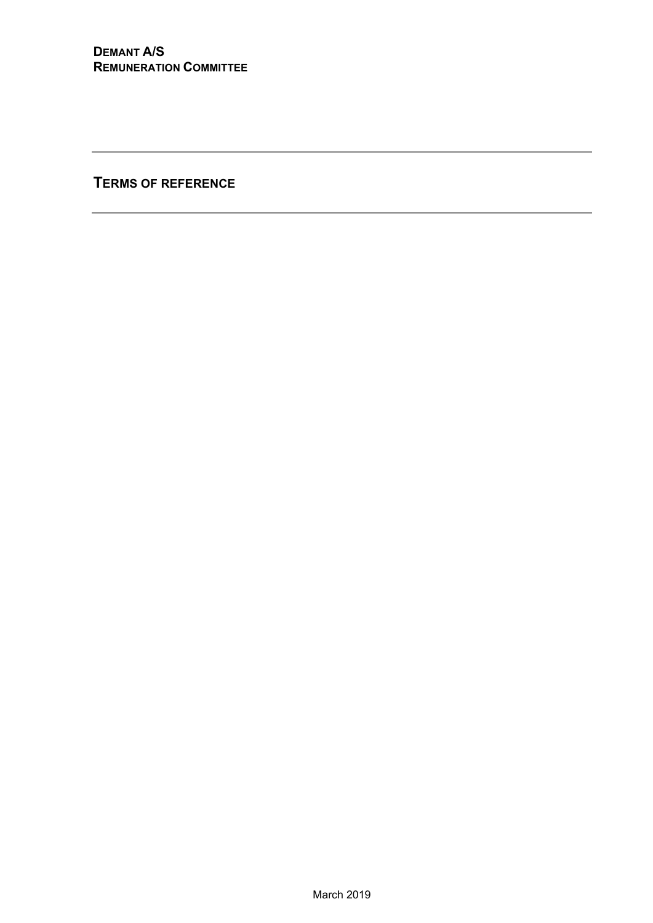**TERMS OF REFERENCE**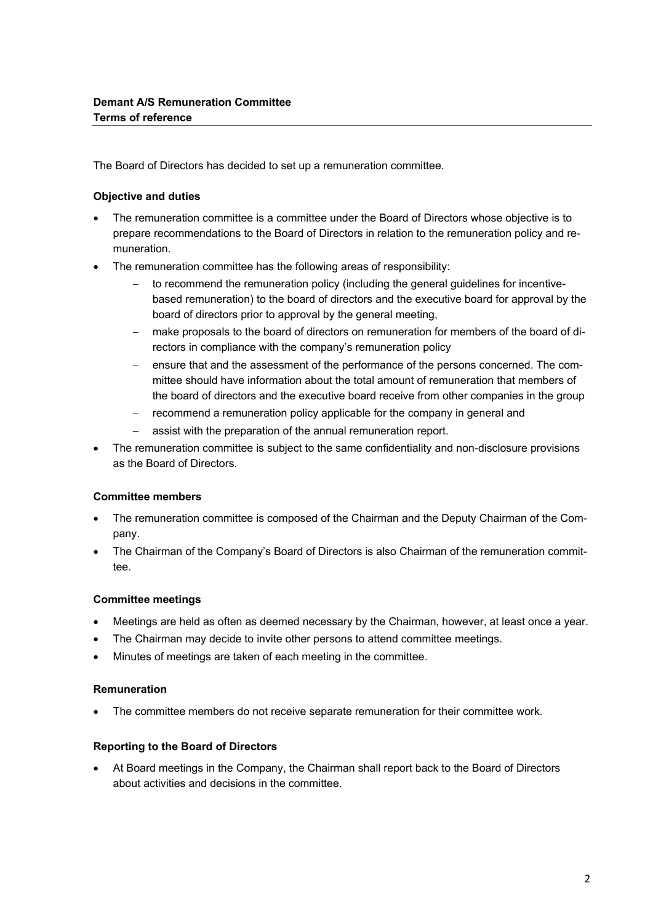The Board of Directors has decided to set up a remuneration committee.

## **Objective and duties**

- The remuneration committee is a committee under the Board of Directors whose objective is to prepare recommendations to the Board of Directors in relation to the remuneration policy and remuneration.
- The remuneration committee has the following areas of responsibility:
	- to recommend the remuneration policy (including the general guidelines for incentivebased remuneration) to the board of directors and the executive board for approval by the board of directors prior to approval by the general meeting,
	- make proposals to the board of directors on remuneration for members of the board of directors in compliance with the company's remuneration policy
	- ensure that and the assessment of the performance of the persons concerned. The committee should have information about the total amount of remuneration that members of the board of directors and the executive board receive from other companies in the group
	- recommend a remuneration policy applicable for the company in general and
	- assist with the preparation of the annual remuneration report.
- The remuneration committee is subject to the same confidentiality and non-disclosure provisions as the Board of Directors.

# **Committee members**

- The remuneration committee is composed of the Chairman and the Deputy Chairman of the Company.
- The Chairman of the Company's Board of Directors is also Chairman of the remuneration committee.

#### **Committee meetings**

- Meetings are held as often as deemed necessary by the Chairman, however, at least once a year.
- The Chairman may decide to invite other persons to attend committee meetings.
- Minutes of meetings are taken of each meeting in the committee.

#### **Remuneration**

The committee members do not receive separate remuneration for their committee work.

#### **Reporting to the Board of Directors**

 At Board meetings in the Company, the Chairman shall report back to the Board of Directors about activities and decisions in the committee.